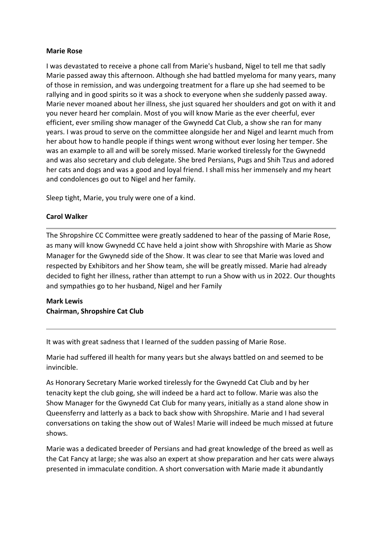## **Marie Rose**

I was devastated to receive a phone call from Marie's husband, Nigel to tell me that sadly Marie passed away this afternoon. Although she had battled myeloma for many years, many of those in remission, and was undergoing treatment for a flare up she had seemed to be rallying and in good spirits so it was a shock to everyone when she suddenly passed away. Marie never moaned about her illness, she just squared her shoulders and got on with it and you never heard her complain. Most of you will know Marie as the ever cheerful, ever efficient, ever smiling show manager of the Gwynedd Cat Club, a show she ran for many years. I was proud to serve on the committee alongside her and Nigel and learnt much from her about how to handle people if things went wrong without ever losing her temper. She was an example to all and will be sorely missed. Marie worked tirelessly for the Gwynedd and was also secretary and club delegate. She bred Persians, Pugs and Shih Tzus and adored her cats and dogs and was a good and loyal friend. I shall miss her immensely and my heart and condolences go out to Nigel and her family.

Sleep tight, Marie, you truly were one of a kind.

## **Carol Walker**

The Shropshire CC Committee were greatly saddened to hear of the passing of Marie Rose, as many will know Gwynedd CC have held a joint show with Shropshire with Marie as Show Manager for the Gwynedd side of the Show. It was clear to see that Marie was loved and respected by Exhibitors and her Show team, she will be greatly missed. Marie had already decided to fight her illness, rather than attempt to run a Show with us in 2022. Our thoughts and sympathies go to her husband, Nigel and her Family

## **Mark Lewis Chairman, Shropshire Cat Club**

It was with great sadness that I learned of the sudden passing of Marie Rose.

Marie had suffered ill health for many years but she always battled on and seemed to be invincible.

As Honorary Secretary Marie worked tirelessly for the Gwynedd Cat Club and by her tenacity kept the club going, she will indeed be a hard act to follow. Marie was also the Show Manager for the Gwynedd Cat Club for many years, initially as a stand alone show in Queensferry and latterly as a back to back show with Shropshire. Marie and I had several conversations on taking the show out of Wales! Marie will indeed be much missed at future shows.

Marie was a dedicated breeder of Persians and had great knowledge of the breed as well as the Cat Fancy at large; she was also an expert at show preparation and her cats were always presented in immaculate condition. A short conversation with Marie made it abundantly